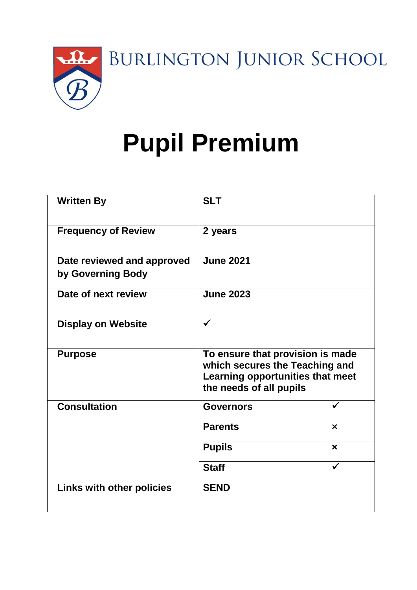

**BURLINGTON JUNIOR SCHOOL** 

# **Pupil Premium**

| <b>Written By</b>                               | <b>SLT</b>                                                                                                                        |                           |
|-------------------------------------------------|-----------------------------------------------------------------------------------------------------------------------------------|---------------------------|
| <b>Frequency of Review</b>                      | 2 years                                                                                                                           |                           |
| Date reviewed and approved<br>by Governing Body | <b>June 2021</b>                                                                                                                  |                           |
| Date of next review                             | <b>June 2023</b>                                                                                                                  |                           |
| <b>Display on Website</b>                       | ✓                                                                                                                                 |                           |
| <b>Purpose</b>                                  | To ensure that provision is made<br>which secures the Teaching and<br>Learning opportunities that meet<br>the needs of all pupils |                           |
| <b>Consultation</b>                             | <b>Governors</b>                                                                                                                  | $\checkmark$              |
|                                                 | <b>Parents</b>                                                                                                                    | $\boldsymbol{\mathsf{x}}$ |
|                                                 | <b>Pupils</b>                                                                                                                     | $\boldsymbol{\mathsf{x}}$ |
|                                                 | <b>Staff</b>                                                                                                                      | ✔                         |
| <b>Links with other policies</b>                | <b>SEND</b>                                                                                                                       |                           |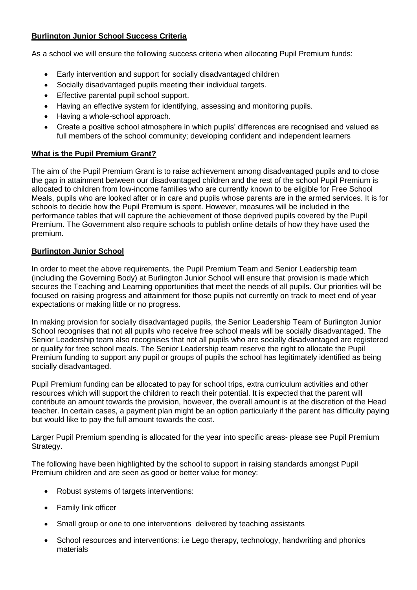## **Burlington Junior School Success Criteria**

As a school we will ensure the following success criteria when allocating Pupil Premium funds:

- Early intervention and support for socially disadvantaged children
- Socially disadvantaged pupils meeting their individual targets.
- Effective parental pupil school support.
- Having an effective system for identifying, assessing and monitoring pupils.
- Having a whole-school approach.
- Create a positive school atmosphere in which pupils' differences are recognised and valued as full members of the school community; developing confident and independent learners

### **What is the Pupil Premium Grant?**

The aim of the Pupil Premium Grant is to raise achievement among disadvantaged pupils and to close the gap in attainment between our disadvantaged children and the rest of the school Pupil Premium is allocated to children from low-income families who are currently known to be eligible for Free School Meals, pupils who are looked after or in care and pupils whose parents are in the armed services. It is for schools to decide how the Pupil Premium is spent. However, measures will be included in the performance tables that will capture the achievement of those deprived pupils covered by the Pupil Premium. The Government also require schools to publish online details of how they have used the premium.

#### **Burlington Junior School**

In order to meet the above requirements, the Pupil Premium Team and Senior Leadership team (including the Governing Body) at Burlington Junior School will ensure that provision is made which secures the Teaching and Learning opportunities that meet the needs of all pupils. Our priorities will be focused on raising progress and attainment for those pupils not currently on track to meet end of year expectations or making little or no progress.

In making provision for socially disadvantaged pupils, the Senior Leadership Team of Burlington Junior School recognises that not all pupils who receive free school meals will be socially disadvantaged. The Senior Leadership team also recognises that not all pupils who are socially disadvantaged are registered or qualify for free school meals. The Senior Leadership team reserve the right to allocate the Pupil Premium funding to support any pupil or groups of pupils the school has legitimately identified as being socially disadvantaged.

Pupil Premium funding can be allocated to pay for school trips, extra curriculum activities and other resources which will support the children to reach their potential. It is expected that the parent will contribute an amount towards the provision, however, the overall amount is at the discretion of the Head teacher. In certain cases, a payment plan might be an option particularly if the parent has difficulty paying but would like to pay the full amount towards the cost.

Larger Pupil Premium spending is allocated for the year into specific areas- please see Pupil Premium Strategy.

The following have been highlighted by the school to support in raising standards amongst Pupil Premium children and are seen as good or better value for money:

- Robust systems of targets interventions:
- Family link officer
- Small group or one to one interventions delivered by teaching assistants
- School resources and interventions: i.e Lego therapy, technology, handwriting and phonics materials